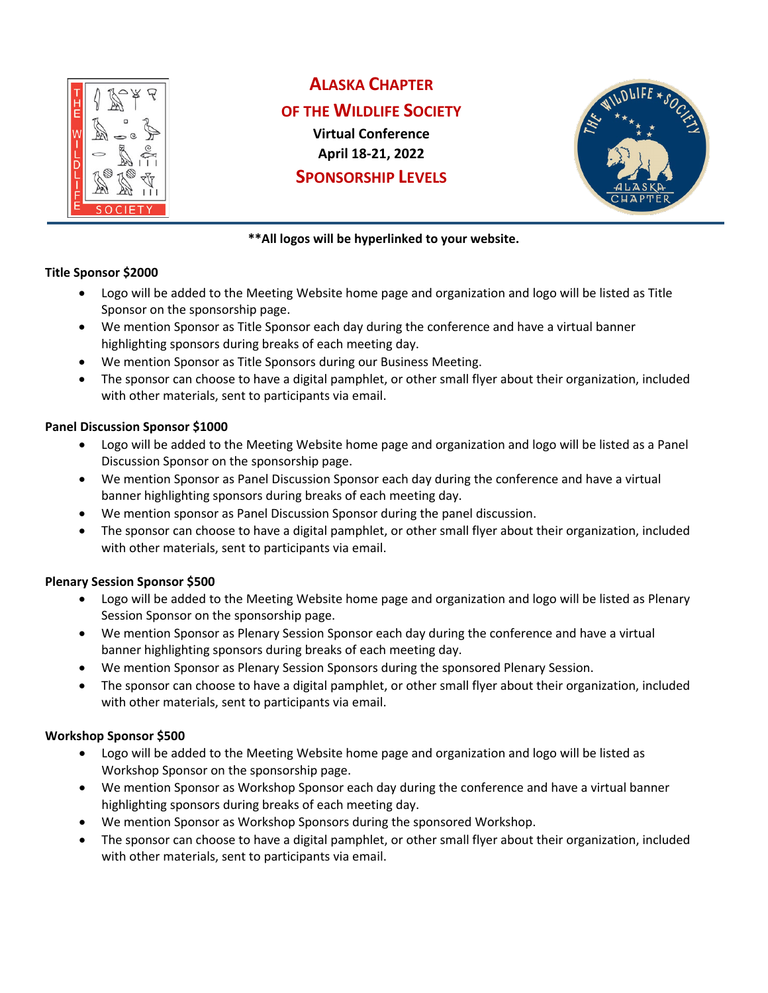

# **ALASKA CHAPTER**

## **OF THE WILDLIFE SOCIETY**

**Virtual Conference April 18-21, 2022 SPONSORSHIP LEVELS**



## **\*\*All logos will be hyperlinked to your website.**

#### **Title Sponsor \$2000**

- Logo will be added to the Meeting Website home page and organization and logo will be listed as Title Sponsor on the sponsorship page.
- We mention Sponsor as Title Sponsor each day during the conference and have a virtual banner highlighting sponsors during breaks of each meeting day.
- We mention Sponsor as Title Sponsors during our Business Meeting.
- The sponsor can choose to have a digital pamphlet, or other small flyer about their organization, included with other materials, sent to participants via email.

## **Panel Discussion Sponsor \$1000**

- Logo will be added to the Meeting Website home page and organization and logo will be listed as a Panel Discussion Sponsor on the sponsorship page.
- We mention Sponsor as Panel Discussion Sponsor each day during the conference and have a virtual banner highlighting sponsors during breaks of each meeting day.
- We mention sponsor as Panel Discussion Sponsor during the panel discussion.
- The sponsor can choose to have a digital pamphlet, or other small flyer about their organization, included with other materials, sent to participants via email.

## **Plenary Session Sponsor \$500**

- Logo will be added to the Meeting Website home page and organization and logo will be listed as Plenary Session Sponsor on the sponsorship page.
- We mention Sponsor as Plenary Session Sponsor each day during the conference and have a virtual banner highlighting sponsors during breaks of each meeting day.
- We mention Sponsor as Plenary Session Sponsors during the sponsored Plenary Session.
- The sponsor can choose to have a digital pamphlet, or other small flyer about their organization, included with other materials, sent to participants via email.

## **Workshop Sponsor \$500**

- Logo will be added to the Meeting Website home page and organization and logo will be listed as Workshop Sponsor on the sponsorship page.
- We mention Sponsor as Workshop Sponsor each day during the conference and have a virtual banner highlighting sponsors during breaks of each meeting day.
- We mention Sponsor as Workshop Sponsors during the sponsored Workshop.
- The sponsor can choose to have a digital pamphlet, or other small flyer about their organization, included with other materials, sent to participants via email.